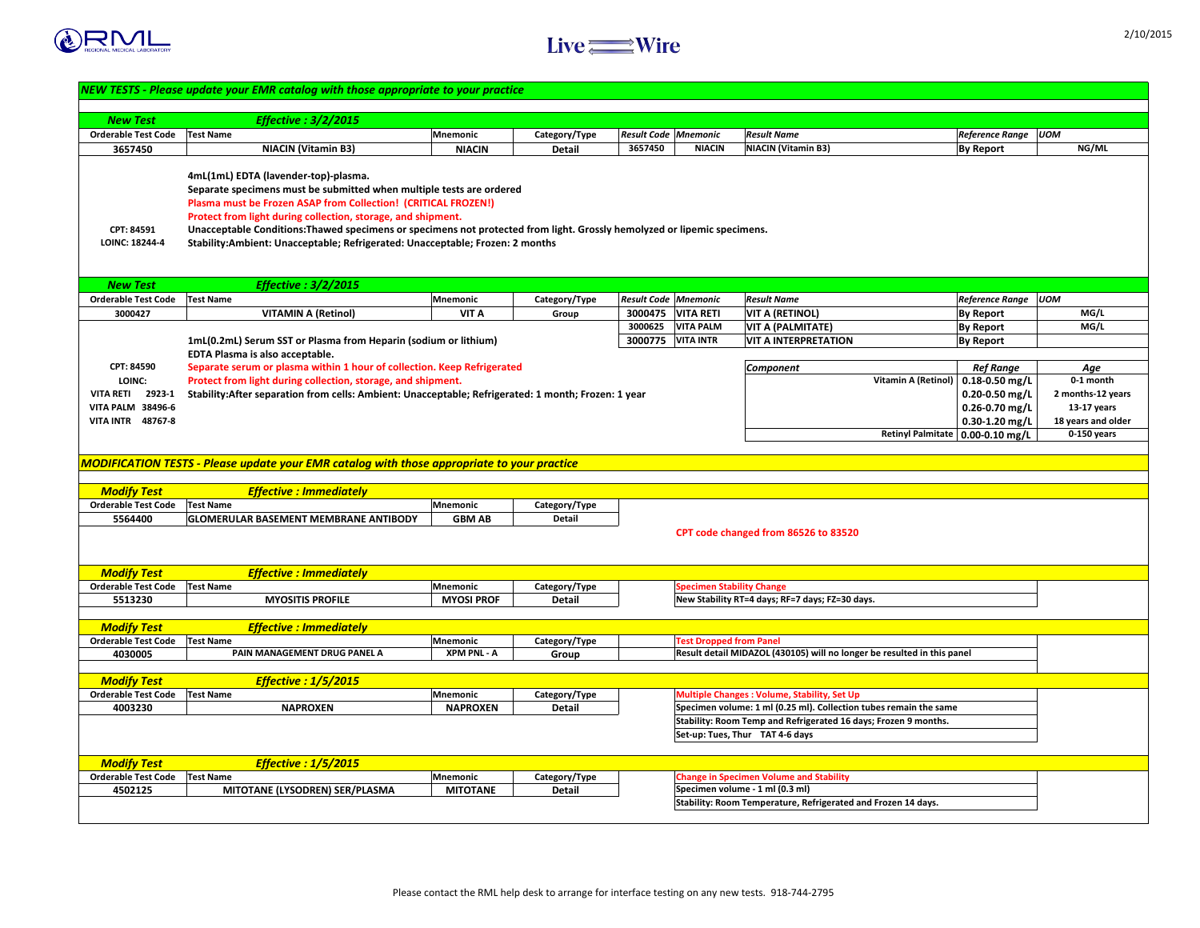



|                                            | NEW TESTS - Please update your EMR catalog with those appropriate to your practice                                                                                                                                                                                                                                                                                                                                                                                 |                               |                      |                                        |                                  |                                                                                   |                            |                              |                    |
|--------------------------------------------|--------------------------------------------------------------------------------------------------------------------------------------------------------------------------------------------------------------------------------------------------------------------------------------------------------------------------------------------------------------------------------------------------------------------------------------------------------------------|-------------------------------|----------------------|----------------------------------------|----------------------------------|-----------------------------------------------------------------------------------|----------------------------|------------------------------|--------------------|
|                                            |                                                                                                                                                                                                                                                                                                                                                                                                                                                                    |                               |                      |                                        |                                  |                                                                                   |                            |                              |                    |
| <b>New Test</b>                            | <b>Effective : 3/2/2015</b>                                                                                                                                                                                                                                                                                                                                                                                                                                        |                               |                      |                                        |                                  |                                                                                   |                            |                              |                    |
| <b>Orderable Test Code</b><br>3657450      | <b>Test Name</b>                                                                                                                                                                                                                                                                                                                                                                                                                                                   | <b>Mnemonic</b>               | Category/Type        | <b>Result Code Mnemonic</b><br>3657450 | <b>NIACIN</b>                    | <b>Result Name</b><br><b>NIACIN (Vitamin B3)</b>                                  |                            | <b>Reference Range   UOM</b> | NG/ML              |
|                                            | <b>NIACIN (Vitamin B3)</b>                                                                                                                                                                                                                                                                                                                                                                                                                                         | <b>NIACIN</b>                 | <b>Detail</b>        |                                        |                                  |                                                                                   |                            | <b>By Report</b>             |                    |
| <b>CPT: 84591</b><br><b>LOINC: 18244-4</b> | 4mL(1mL) EDTA (lavender-top)-plasma.<br>Separate specimens must be submitted when multiple tests are ordered<br><b>Plasma must be Frozen ASAP from Collection! (CRITICAL FROZEN!)</b><br>Protect from light during collection, storage, and shipment.<br>Unacceptable Conditions: Thawed specimens or specimens not protected from light. Grossly hemolyzed or lipemic specimens.<br>Stability:Ambient: Unacceptable; Refrigerated: Unacceptable; Frozen: 2 months |                               |                      |                                        |                                  |                                                                                   |                            |                              |                    |
| <b>New Test</b>                            | Effective : $3/2/2015$                                                                                                                                                                                                                                                                                                                                                                                                                                             |                               |                      |                                        |                                  |                                                                                   |                            |                              |                    |
| <b>Orderable Test Code</b>   Test Name     |                                                                                                                                                                                                                                                                                                                                                                                                                                                                    | <b>Mnemonic</b>               | Category/Type        | $\mid$ Result Code $\mid$ Mnemonic     |                                  | <b>Result Name</b>                                                                |                            | <b>Reference Range   UOM</b> |                    |
| 3000427                                    | <b>VITAMIN A (Retinol)</b>                                                                                                                                                                                                                                                                                                                                                                                                                                         | <b>VIT A</b>                  | Group                | 3000475                                | <b>VITA RETI</b>                 | <b>VIT A (RETINOL)</b>                                                            |                            | <b>By Report</b>             | MG/L               |
|                                            |                                                                                                                                                                                                                                                                                                                                                                                                                                                                    |                               |                      | 3000625                                | <b>VITA PALM</b>                 | <b>VIT A (PALMITATE)</b>                                                          |                            | <b>By Report</b>             | MG/L               |
|                                            | 1mL(0.2mL) Serum SST or Plasma from Heparin (sodium or lithium)                                                                                                                                                                                                                                                                                                                                                                                                    |                               |                      | 3000775                                | <b>VITA INTR</b>                 | <b>VIT A INTERPRETATION</b>                                                       |                            | <b>By Report</b>             |                    |
| <b>CPT: 84590</b>                          | <b>EDTA Plasma is also acceptable.</b><br>Separate serum or plasma within 1 hour of collection. Keep Refrigerated                                                                                                                                                                                                                                                                                                                                                  |                               |                      |                                        |                                  |                                                                                   |                            | <b>Ref Range</b>             |                    |
| <b>LOINC:</b>                              | Protect from light during collection, storage, and shipment.                                                                                                                                                                                                                                                                                                                                                                                                       |                               |                      |                                        |                                  | <b>Component</b>                                                                  | <b>Vitamin A (Retinol)</b> | $\vert$ 0.18-0.50 mg/L       | Age<br>0-1 month   |
| 2923-1<br><b>VITA RETI</b>                 | Stability:After separation from cells: Ambient: Unacceptable; Refrigerated: 1 month; Frozen: 1 year                                                                                                                                                                                                                                                                                                                                                                |                               |                      |                                        |                                  |                                                                                   |                            | $0.20 - 0.50$ mg/L           | 2 months-12 years  |
| <b>VITA PALM 38496-6</b>                   |                                                                                                                                                                                                                                                                                                                                                                                                                                                                    |                               |                      |                                        |                                  |                                                                                   |                            | $0.26 - 0.70$ mg/L           | $13-17$ years      |
| <b>VITA INTR</b><br>48767-8                |                                                                                                                                                                                                                                                                                                                                                                                                                                                                    |                               |                      |                                        |                                  |                                                                                   |                            | $0.30 - 1.20$ mg/L           | 18 years and older |
|                                            |                                                                                                                                                                                                                                                                                                                                                                                                                                                                    |                               |                      |                                        |                                  |                                                                                   | <b>Retinyl Palmitate</b>   | $\vert$ 0.00-0.10 mg/L       | $0-150$ years      |
|                                            |                                                                                                                                                                                                                                                                                                                                                                                                                                                                    |                               |                      |                                        |                                  |                                                                                   |                            |                              |                    |
|                                            | MODIFICATION TESTS - Please update your EMR catalog with those appropriate to your practice                                                                                                                                                                                                                                                                                                                                                                        |                               |                      |                                        |                                  |                                                                                   |                            |                              |                    |
|                                            |                                                                                                                                                                                                                                                                                                                                                                                                                                                                    |                               |                      |                                        |                                  |                                                                                   |                            |                              |                    |
| <b>Modify Test</b>                         | <b>Effective : Immediately</b>                                                                                                                                                                                                                                                                                                                                                                                                                                     |                               |                      |                                        |                                  |                                                                                   |                            |                              |                    |
| <b>Orderable Test Code</b>                 | <b>Test Name</b>                                                                                                                                                                                                                                                                                                                                                                                                                                                   | Mnemonic                      | Category/Type        |                                        |                                  |                                                                                   |                            |                              |                    |
| 5564400                                    | <b>GLOMERULAR BASEMENT MEMBRANE ANTIBODY</b>                                                                                                                                                                                                                                                                                                                                                                                                                       | <b>GBM AB</b>                 | <b>Detail</b>        |                                        |                                  |                                                                                   |                            |                              |                    |
|                                            |                                                                                                                                                                                                                                                                                                                                                                                                                                                                    |                               |                      |                                        |                                  | CPT code changed from 86526 to 83520                                              |                            |                              |                    |
|                                            |                                                                                                                                                                                                                                                                                                                                                                                                                                                                    |                               |                      |                                        |                                  |                                                                                   |                            |                              |                    |
|                                            |                                                                                                                                                                                                                                                                                                                                                                                                                                                                    |                               |                      |                                        |                                  |                                                                                   |                            |                              |                    |
| <b>Modify Test</b>                         | <b>Effective : Immediately</b>                                                                                                                                                                                                                                                                                                                                                                                                                                     |                               |                      |                                        |                                  |                                                                                   |                            |                              |                    |
| <b>Orderable Test Code</b><br>5513230      | <b>Test Name</b><br><b>MYOSITIS PROFILE</b>                                                                                                                                                                                                                                                                                                                                                                                                                        | Mnemonic<br><b>MYOSI PROF</b> | <b>Category/Type</b> |                                        | <b>Specimen Stability Change</b> | New Stability RT=4 days; RF=7 days; FZ=30 days.                                   |                            |                              |                    |
|                                            |                                                                                                                                                                                                                                                                                                                                                                                                                                                                    |                               | <b>Detail</b>        |                                        |                                  |                                                                                   |                            |                              |                    |
| <b>Modify Test</b>                         | <b>Effective : Immediately</b>                                                                                                                                                                                                                                                                                                                                                                                                                                     |                               |                      |                                        |                                  |                                                                                   |                            |                              |                    |
| <b>Orderable Test Code</b>                 | <b>Test Name</b>                                                                                                                                                                                                                                                                                                                                                                                                                                                   | Mnemonic                      | Category/Type        |                                        | <b>Test Dropped from Panel</b>   |                                                                                   |                            |                              |                    |
| 4030005                                    | <b>PAIN MANAGEMENT DRUG PANEL A</b>                                                                                                                                                                                                                                                                                                                                                                                                                                | <b>XPM PNL - A</b>            | Group                |                                        |                                  | Result detail MIDAZOL (430105) will no longer be resulted in this panel           |                            |                              |                    |
|                                            |                                                                                                                                                                                                                                                                                                                                                                                                                                                                    |                               |                      |                                        |                                  |                                                                                   |                            |                              |                    |
| <b>Modify Test</b>                         | <b>Effective : 1/5/2015</b>                                                                                                                                                                                                                                                                                                                                                                                                                                        |                               |                      |                                        |                                  |                                                                                   |                            |                              |                    |
| <b>Orderable Test Code</b>                 | <b>Test Name</b>                                                                                                                                                                                                                                                                                                                                                                                                                                                   | Mnemonic                      | Category/Type        |                                        |                                  | <b>Multiple Changes: Volume, Stability, Set Up</b>                                |                            |                              |                    |
| 4003230                                    | <b>NAPROXEN</b>                                                                                                                                                                                                                                                                                                                                                                                                                                                    | <b>NAPROXEN</b>               | <b>Detail</b>        |                                        |                                  | Specimen volume: 1 ml (0.25 ml). Collection tubes remain the same                 |                            |                              |                    |
|                                            |                                                                                                                                                                                                                                                                                                                                                                                                                                                                    |                               |                      |                                        |                                  | Stability: Room Temp and Refrigerated 16 days; Frozen 9 months.                   |                            |                              |                    |
|                                            |                                                                                                                                                                                                                                                                                                                                                                                                                                                                    |                               |                      |                                        |                                  | Set-up: Tues, Thur TAT 4-6 days                                                   |                            |                              |                    |
|                                            |                                                                                                                                                                                                                                                                                                                                                                                                                                                                    |                               |                      |                                        |                                  |                                                                                   |                            |                              |                    |
| <b>Modify Test</b>                         | <b>Effective : 1/5/2015</b>                                                                                                                                                                                                                                                                                                                                                                                                                                        |                               |                      |                                        |                                  |                                                                                   |                            |                              |                    |
| <b>Orderable Test Code</b>                 | <b>Test Name</b>                                                                                                                                                                                                                                                                                                                                                                                                                                                   | Mnemonic                      | Category/Type        |                                        |                                  | <b>Change in Specimen Volume and Stability</b><br>Specimen volume - 1 ml (0.3 ml) |                            |                              |                    |
| 4502125                                    | <b>MITOTANE (LYSODREN) SER/PLASMA</b>                                                                                                                                                                                                                                                                                                                                                                                                                              | <b>MITOTANE</b>               | <b>Detail</b>        |                                        |                                  | Stability: Room Temperature, Refrigerated and Frozen 14 days.                     |                            |                              |                    |
|                                            |                                                                                                                                                                                                                                                                                                                                                                                                                                                                    |                               |                      |                                        |                                  |                                                                                   |                            |                              |                    |
|                                            |                                                                                                                                                                                                                                                                                                                                                                                                                                                                    |                               |                      |                                        |                                  |                                                                                   |                            |                              |                    |

|                          | <b>Reference Range</b>               | <b>UOM</b>         |
|--------------------------|--------------------------------------|--------------------|
|                          | <b>By Report</b>                     | NG/ML              |
|                          |                                      |                    |
|                          |                                      |                    |
|                          |                                      |                    |
|                          |                                      |                    |
|                          |                                      |                    |
|                          |                                      |                    |
|                          |                                      |                    |
|                          |                                      |                    |
|                          | <b>Reference Range</b>               | <b>UOM</b>         |
|                          |                                      | MG/L               |
|                          | <b>By Report</b><br><b>By Report</b> | MG/L               |
|                          | <b>By Report</b>                     |                    |
|                          |                                      |                    |
|                          | <b>Ref Range</b>                     | Age                |
| tamin A (Retinol)        | $0.18 - 0.50$ mg/L                   | 0-1 month          |
|                          | $0.20 - 0.50$ mg/L                   | 2 months-12 years  |
|                          | $0.26 - 0.70$ mg/L                   | <b>13-17 years</b> |
|                          | $0.30 - 1.20$ mg/L                   | 18 years and older |
| <b>Retinyl Palmitate</b> | $0.00 - 0.10$ mg/L                   | $0-150$ years      |
|                          |                                      |                    |
|                          |                                      |                    |
|                          |                                      |                    |
|                          |                                      |                    |
|                          |                                      |                    |
|                          |                                      |                    |
|                          |                                      |                    |
|                          |                                      |                    |
|                          |                                      |                    |
|                          |                                      |                    |
|                          |                                      |                    |
|                          |                                      |                    |
|                          |                                      |                    |
|                          |                                      |                    |
| resulted in this panel   |                                      |                    |
|                          |                                      |                    |
|                          |                                      |                    |
| s remain the same        |                                      |                    |
| rozen 9 months.          |                                      |                    |
|                          |                                      |                    |
|                          |                                      |                    |
|                          |                                      |                    |
|                          |                                      |                    |
|                          |                                      |                    |
| ozen 14 days.            |                                      |                    |
|                          |                                      |                    |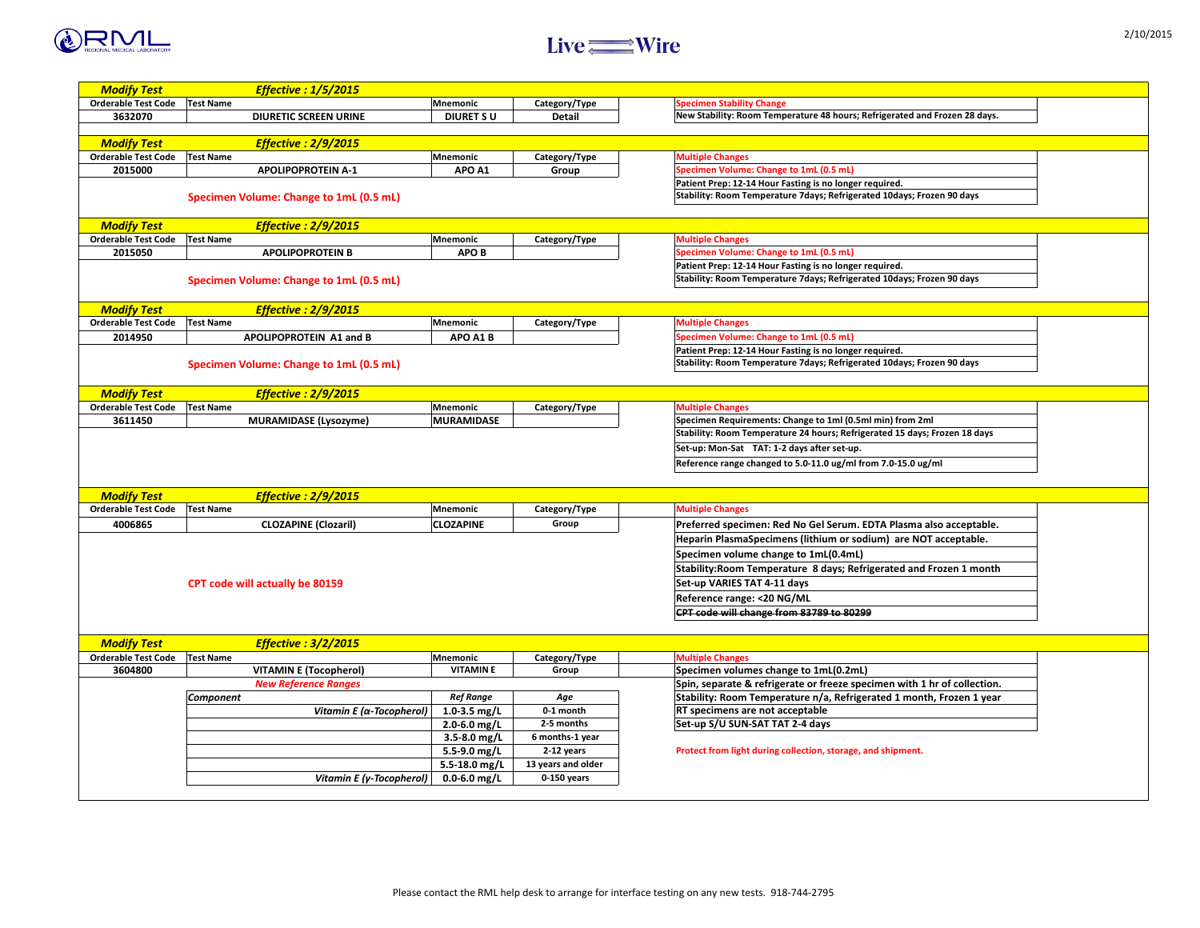| ted and Frozen 28 days.                                             |  |
|---------------------------------------------------------------------|--|
|                                                                     |  |
| ays; Frozen 90 days                                                 |  |
|                                                                     |  |
| $\bullet$<br>ays; Frozen 90 days                                    |  |
|                                                                     |  |
|                                                                     |  |
| ays; Frozen 90 days                                                 |  |
|                                                                     |  |
| rom 2ml<br>5 days; Frozen 18 days<br>15.0 ug/ml                     |  |
|                                                                     |  |
| asma also acceptable.<br>re NOT acceptable.<br>d and Frozen 1 month |  |
|                                                                     |  |
|                                                                     |  |
| with 1 hr of collection.<br>month, Frozen 1 year                    |  |
| ment.                                                               |  |





| <b>Modify Test</b>         | <b>Effective : 1/5/2015</b>                    |                   |                      |                                                                            |
|----------------------------|------------------------------------------------|-------------------|----------------------|----------------------------------------------------------------------------|
| <b>Orderable Test Code</b> | <b>Test Name</b>                               | Mnemonic          | Category/Type        | <b>Specimen Stability Change</b>                                           |
| 3632070                    | <b>DIURETIC SCREEN URINE</b>                   | <b>DIURET SU</b>  | <b>Detail</b>        | New Stability: Room Temperature 48 hours; Refrigerated and Frozen 28 days. |
|                            |                                                |                   |                      |                                                                            |
| <b>Modify Test</b>         | <b>Effective : 2/9/2015</b>                    |                   |                      |                                                                            |
| <b>Orderable Test Code</b> | <b>Test Name</b>                               | <b>Mnemonic</b>   | Category/Type        | <b>Multiple Changes</b>                                                    |
| 2015000                    | <b>APOLIPOPROTEIN A-1</b>                      | APO A1            | Group                | <b>Specimen Volume: Change to 1mL (0.5 mL)</b>                             |
|                            |                                                |                   |                      | Patient Prep: 12-14 Hour Fasting is no longer required.                    |
|                            | <b>Specimen Volume: Change to 1mL (0.5 mL)</b> |                   |                      | Stability: Room Temperature 7days; Refrigerated 10days; Frozen 90 days     |
|                            |                                                |                   |                      |                                                                            |
| <b>Modify Test</b>         | <b>Effective : 2/9/2015</b>                    |                   |                      |                                                                            |
| <b>Orderable Test Code</b> | <b>Test Name</b>                               | <b>Mnemonic</b>   | Category/Type        | <b>Multiple Changes</b>                                                    |
| 2015050                    | <b>APOLIPOPROTEIN B</b>                        | <b>APOB</b>       |                      | <b>Specimen Volume: Change to 1mL (0.5 mL)</b>                             |
|                            |                                                |                   |                      | Patient Prep: 12-14 Hour Fasting is no longer required.                    |
|                            | <b>Specimen Volume: Change to 1mL (0.5 mL)</b> |                   |                      | Stability: Room Temperature 7days; Refrigerated 10days; Frozen 90 days     |
|                            |                                                |                   |                      |                                                                            |
| <b>Modify Test</b>         | <b>Effective : 2/9/2015</b>                    |                   |                      |                                                                            |
| <b>Orderable Test Code</b> | <b>Test Name</b>                               | $\sf M$ nemonic   | Category/Type        | <b>Multiple Changes</b>                                                    |
| 2014950                    | APOLIPOPROTEIN A1 and B                        | APO A1 B          |                      | Specimen Volume: Change to 1mL (0.5 mL)                                    |
|                            |                                                |                   |                      | Patient Prep: 12-14 Hour Fasting is no longer required.                    |
|                            | <b>Specimen Volume: Change to 1mL (0.5 mL)</b> |                   |                      | Stability: Room Temperature 7days; Refrigerated 10days; Frozen 90 days     |
|                            |                                                |                   |                      |                                                                            |
| <b>Modify Test</b>         | <b>Effective : 2/9/2015</b>                    |                   |                      |                                                                            |
| <b>Orderable Test Code</b> | <b>Test Name</b>                               | <b>Mnemonic</b>   | Category/Type        | <b>Multiple Changes</b>                                                    |
| 3611450                    | <b>MURAMIDASE (Lysozyme)</b>                   | <b>MURAMIDASE</b> |                      | Specimen Requirements: Change to 1ml (0.5ml min) from 2ml                  |
|                            |                                                |                   |                      | Stability: Room Temperature 24 hours; Refrigerated 15 days; Frozen 18 days |
|                            |                                                |                   |                      | Set-up: Mon-Sat TAT: 1-2 days after set-up.                                |
|                            |                                                |                   |                      |                                                                            |
|                            |                                                |                   |                      | Reference range changed to 5.0-11.0 ug/ml from 7.0-15.0 ug/ml              |
|                            |                                                |                   |                      |                                                                            |
| <b>Modify Test</b>         | <b>Effective : 2/9/2015</b>                    |                   |                      |                                                                            |
| <b>Orderable Test Code</b> | <b>Test Name</b>                               | <b>Mnemonic</b>   | <b>Category/Type</b> | <b>Multiple Changes</b>                                                    |
| 4006865                    | <b>CLOZAPINE (Clozaril)</b>                    | <b>CLOZAPINE</b>  | Group                | Preferred specimen: Red No Gel Serum. EDTA Plasma also acceptable.         |
|                            |                                                |                   |                      | Heparin PlasmaSpecimens (lithium or sodium) are NOT acceptable.            |
|                            |                                                |                   |                      | Specimen volume change to 1mL(0.4mL)                                       |
|                            |                                                |                   |                      | Stability: Room Temperature 8 days; Refrigerated and Frozen 1 month        |
|                            | <b>CPT code will actually be 80159</b>         |                   |                      | Set-up VARIES TAT 4-11 days                                                |
|                            |                                                |                   |                      | <b>Reference range: &lt;20 NG/ML</b>                                       |
|                            |                                                |                   |                      | <b>CPT code will change from 83789 to 80299</b>                            |
|                            |                                                |                   |                      |                                                                            |
|                            |                                                |                   |                      |                                                                            |
| <b>Modify Test</b>         | <b>Effective : 3/2/2015</b>                    |                   |                      |                                                                            |
| <b>Orderable Test Code</b> | <b>Test Name</b>                               | <b>Mnemonic</b>   | Category/Type        | <b>Multiple Changes</b>                                                    |
| 3604800                    | <b>VITAMIN E (Tocopherol)</b>                  | <b>VITAMINE</b>   | Group                | Specimen volumes change to 1mL(0.2mL)                                      |
|                            | <b>New Reference Ranges</b>                    |                   |                      | Spin, separate & refrigerate or freeze specimen with 1 hr of collection.   |
|                            | <b>Component</b>                               | <b>Ref Range</b>  | Age                  | Stability: Room Temperature n/a, Refrigerated 1 month, Frozen 1 year       |
|                            | Vitamin E ( $\alpha$ -Tocopherol)              | 1.0-3.5 mg/L      | 0-1 month            | <b>RT specimens are not acceptable</b>                                     |
|                            |                                                | $2.0 - 6.0$ mg/L  | 2-5 months           | Set-up S/U SUN-SAT TAT 2-4 days                                            |
|                            |                                                | $3.5 - 8.0$ mg/L  | 6 months-1 year      |                                                                            |
|                            |                                                | $5.5 - 9.0$ mg/L  | 2-12 years           | Protect from light during collection, storage, and shipment.               |
|                            |                                                | 5.5-18.0 mg/L     | 13 years and older   |                                                                            |
|                            | Vitamin E (y-Tocopherol) $ $                   | $0.0 - 6.0$ mg/L  | $0-150$ years        |                                                                            |